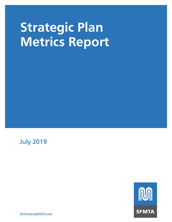July 2019

**NO SFMTA** 

Performance@SFMTA.com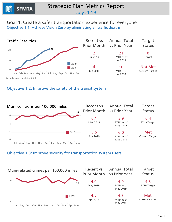### Goal 1: Create a safer transportation experience for everyone Objective 1.1: Achieve Vision Zero by eliminating all traffic deaths



#### Objective 1.2: Improve the safety of the transit system



#### Objective 1.3: Improve security for transportation system users

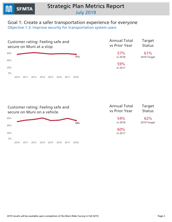

### Goal 1: Create a safer transportation experience for everyone Objective 1.3: Improve security for transportation system users



| <b>Annual Total</b> | <b>Target</b> |
|---------------------|---------------|
| vs Prior Year       | <b>Status</b> |
| 57%                 | 61%           |
| in 2018             | 2019 Target   |
| 59%<br>in 2017      |               |

2010 2011 2012 2014 2015 2016 2017 2018 0% 20% 40% 60% 54% Customer rating: Feeling safe and secure on Muni on a vehicle in2017

| <b>Annual Total</b> | Target        |
|---------------------|---------------|
| vs Prior Year       | <b>Status</b> |
| 54%                 | 62%           |
| in 2018             | 2019 Target   |
| 60%                 |               |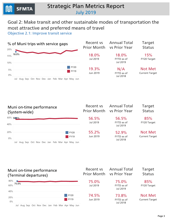### Goal 2: Make transit and other sustainable modes of transportation the most attractive and preferred means of travel

Objective 2.1: Improve transit service



Jul Aug Sep Oct Nov Dec Jan Feb Mar Apr May Jun 0% 20% 40% 60% 56.5% Muni on-time performance (System-wide) Recent vs Prior Month 56.5% Jul2019 55.2% Jun2019 **Annual Total** vs Prior Year 56.5% FYTDasof Jul2019 52.9% FYTDasof Jul2018 Target **Status** 85% FY20Target Not Met **Current Target** FY20 FY19

#### Muni on-time performance (Terminal departures)



Recent vs Prior Month AnnualTotal vs Prior Year

Target **Status**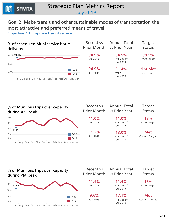### Goal 2: Make transit and other sustainable modes of transportation the most attractive and preferred means of travel

Objective 2.1: Improve transit service





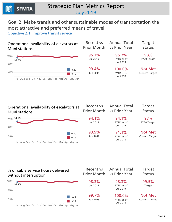### Goal 2: Make transit and other sustainable modes of transportation the most attractive and preferred means of travel

Objective 2.1: Improve transit service



### Operational availability of escalators at **Muni stations**



| Recent vs<br><b>Prior Month</b> | <b>Annual Total</b><br>vs Prior Year   | <b>Target</b><br><b>Status</b>          |
|---------------------------------|----------------------------------------|-----------------------------------------|
| 94.1%<br>Jul 2019               | 94.1%<br>FYTD as of<br>Jul 2019        | 97%<br>FY20 Target                      |
| 93.9%<br>Jun 2019               | 91.1%<br>FYTD as of<br><b>Jul 2018</b> | <b>Not Met</b><br><b>Current Target</b> |

#### Jul Aug Sep Oct Nov Dec Jan Feb Mar Apr May Jun 60% 80% 100% 98.3% % of cable service hours delivered without interruption Recent vs Prior Month 98.3% Jul2019 99.7% Jun2019 AnnualTotal vs Prior Year 98.3% FYTDasof Jul2019 100.0% FYTDasof Jul2018 Target Status 99.5% Target Not Met **Current Target** FY20 FY19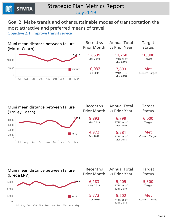0 2,000 4,000 6,000 8,000

### **Strategic Plan Metrics Report** July2019

### Goal 2: Make transit and other sustainable modes of transportation the most attractive and preferred means of travel

Objective 2.1: Improve transit service



Muni mean distance between failure (TrolleyCoach)

Jul Aug Sep Oct Nov Dec Jan Feb Mar



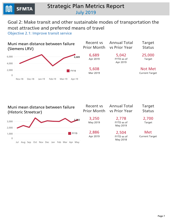### Goal 2: Make transit and other sustainable modes of transportation the most attractive and preferred means of travel

Objective 2.1: Improve transit service



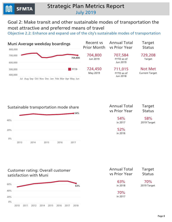### Goal 2: Make transit and other sustainable modes of transportation the most attractive and preferred means of travel

Objective 2.2: Enhance and expand use of the city's sustainable modes of transportation



#### Sustainable transportation mode share



| Annual Total   | Target        |
|----------------|---------------|
| vs Prior Year  | <b>Status</b> |
| 54%            | 58%           |
| in 2017        | 2019 Target   |
| 52%<br>in 2016 |               |

#### Customer rating: Overall customer satisfaction with Muni



| <b>Annual Total</b> | Target        |
|---------------------|---------------|
| vs Prior Year       | <b>Status</b> |
| 63%                 | 70%           |
| in 2018             | 2019 Target   |
| 70%<br>in 2017      |               |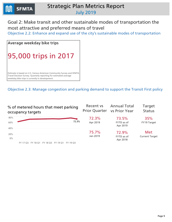

### Goal 2: Make transit and other sustainable modes of transportation the most attractive and preferred means of travel

Objective 2.2: Enhance and expand use of the city's sustainable modes of transportation



Objective 2.3: Manage congestion and parking demand to support the Transit First policy

| % of metered hours that meet parking<br>occupancy targets | Recent vs<br>Prior Quarter vs Prior Year | <b>Annual Total</b>    | <b>Target</b><br><b>Status</b> |
|-----------------------------------------------------------|------------------------------------------|------------------------|--------------------------------|
| 80%                                                       | 72.3%                                    | 73.5%                  | 35%                            |
| 72.3%<br>60%                                              | Apr 2019                                 | FYTD as of<br>Apr 2019 | FY19 Target                    |
| 40%                                                       |                                          |                        |                                |
| 20%                                                       | 75.7%                                    | 72.9%                  | <b>Met</b>                     |
| $0\%$                                                     | Jan 2019                                 | FYTD as of<br>Apr 2018 | <b>Current Target</b>          |

FY17Q3 FY18Q1 FY18Q3 FY19Q1 FY19Q3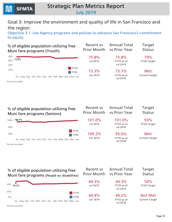Goal 3: Improve the environment and quality of life in San Francisco and the region

Objective 3.1: Use Agency programs and policies to advance San Francisco's commitment to equity

| % of eligible population utilizing free<br>Muni fare programs (Youth)                                    | <b>Recent vs</b><br><b>Prior Month</b> | <b>Annual Total</b><br>vs Prior Year        | <b>Target</b><br><b>Status</b> |
|----------------------------------------------------------------------------------------------------------|----------------------------------------|---------------------------------------------|--------------------------------|
| 80%<br>75.8%<br>60%<br>40%                                                                               | 75.8%<br><b>Jul 2019</b>               | 75.8%<br>FYTD as of<br><b>Jul 2019</b>      | 70%<br>FY20 Target             |
| <b>FY19</b><br>20%<br><b>FY20</b><br>Jul Aug Sep Oct Nov Dec Jan Feb Mar Apr May Jun<br>Percent enrolled | 72.3%<br>Jun 2019                      | 75.7%<br>FYTD as of<br><b>Jul 2018</b>      | Met<br><b>Current Target</b>   |
|                                                                                                          |                                        |                                             |                                |
| % of eligible population utilizing free<br>Muni fare programs (Seniors)                                  | Recent vs<br><b>Prior Month</b>        | <b>Annual Total</b><br><b>vs Prior Year</b> | <b>Target</b><br><b>Status</b> |
| 100% 101.0%<br>80%                                                                                       | 101.0%<br><b>Jul 2019</b>              | 101.0%<br>FYTD as of<br>Jul 2019            | 93%<br>FY20 Target             |
| <b>FY19</b><br>60%<br><b>FY20</b><br>Jul Aug Sep Oct Nov Dec Jan Feb Mar Apr May Jun<br>Percent enrolled | 100.2%<br>Jun 2019                     | 95.6%<br>FYTD as of<br><b>Jul 2018</b>      | Met<br><b>Current Target</b>   |

#### % of eligible population utilizing free Muni fare programs (People w/ disabilities) Rec Prior  $\boldsymbol{4}$



**SFMTA** 

| ecent vs<br>or Month | <b>Annual Total</b><br><b>vs Prior Year</b> | <b>Target</b><br><b>Status</b>          |
|----------------------|---------------------------------------------|-----------------------------------------|
| 44.3%<br>Jul 2019    | 44.3%<br>FYTD as of<br>Jul 2019             | 50%<br>FY20 Target                      |
| 44.4%<br>Jun 2019    | 49.2%<br>FYTD as of<br>Jul 2018             | <b>Not Met</b><br><b>Current Target</b> |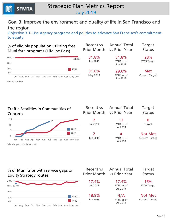Goal 3: Improve the environment and quality of life in San Francisco and the region

Objective 3.1: Use Agency programs and policies to advance San Francisco's commitment to equity





0 Target

**Not Met Current Target** 

Calendar year cumulative total

#### % of Muni trips with service gaps on Equity Strategy routes



| Recent vs<br><b>Prior Month</b> | <b>Annual Total</b><br><b>vs Prior Year</b> | <b>Target</b><br><b>Status</b>          |
|---------------------------------|---------------------------------------------|-----------------------------------------|
| 17.4%<br>Jul 2019               | 17.4%<br>FYTD as of<br>Jul 2019             | 15%<br>FY20 Target                      |
| 18.9%<br>Jun 2019               | N/A<br>FYTD as of<br>Jul 2018               | <b>Not Met</b><br><b>Current Target</b> |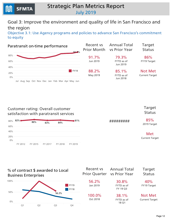Goal 3: Improve the environment and quality of life in San Francisco and the region

Objective 3.1: Use Agency programs and policies to advance San Francisco's commitment to equity



#### Customer rating: Overall customer satisfaction with paratransit services



Target Status

#########

85% 2019 Target

Met **Current Target** 

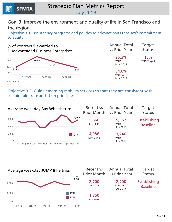Goal 3: Improve the environment and quality of life in San Francisco and the region

Objective 3.1: Use Agency programs and policies to advance San Francisco's commitment to equity



| <b>Annual Total</b><br>vs Prior Year    | <b>Target</b><br><b>Status</b> |
|-----------------------------------------|--------------------------------|
| 25.3%<br><b>FYTD</b> as of<br>June 2018 | 15%<br><b>FY19 Target</b>      |
| 34.6%<br>$T\vee T\cap - -$              |                                |

FYTD as of June 2017

Semi-annual

**SFMTA** 

#### Objective 3.3: Guide emerging mobility services so that they are consistent with sustainable transportation principles



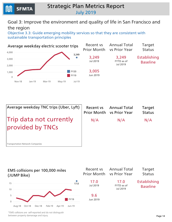

### Goal 3: Improve the environment and quality of life in San Francisco and the region

Objective 3.3: Guide emerging mobility services so that they are consistent with sustainable transportation principles







\*EMS collisions are self-reported and do not distinguish between property damanage and injury.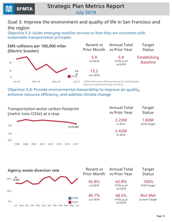

### Goal 3: Improve the environment and quality of life in San Francisco and the region

Objective 3.3: Guide emerging mobility services so that they are consistent with sustainable transportation principles



Objective 3.4: Provide environmental stewardship to improve air quality, enhance resource efficiency, and address climate change



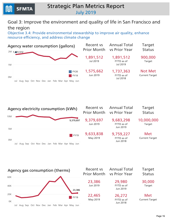

### Goal 3: Improve the environment and quality of life in San Francisco and the region

Objective 3.4: Provide environmental stewardship to improve air quality, enhance resource efficiency, and address climate change





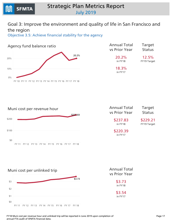### Goal 3: Improve the environment and quality of life in San Francisco and the region

Objective 3.5: Achieve financial stability for the agency



| <b>Annual Total</b> | <b>Target</b>      |
|---------------------|--------------------|
| vs Prior Year       | <b>Status</b>      |
| 20.2%               | 12.5%              |
| in FY18             | <b>FY19 Target</b> |
| 18.3%<br>in FY17    |                    |



| <b>Annual Total</b> | <b>Target</b>           |
|---------------------|-------------------------|
| vs Prior Year       | <b>Status</b>           |
| \$237.83<br>in FY18 | \$229.21<br>FY19 Target |
| \$220.39            |                         |

in FY17



vs Prior Year \$3.73

in FY17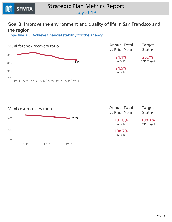

### Goal 3: Improve the environment and quality of life in San Francisco and the region

Objective 3.5: Achieve financial stability for the agency



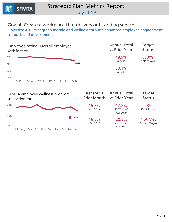

### Goal 4: Create a workplace that delivers outstanding service

Objective 4.1: Strengthen morale and wellness through enhanced employee engagement, support, and development

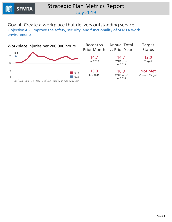### Goal 4: Create a workplace that delivers outstanding service

Objective 4.2: Improve the safety, security, and functionality of SFMTA work environments

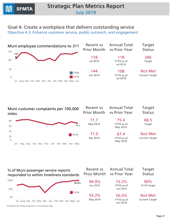Goal 4: Create a workplace that delivers outstanding service Objective 4.3: Enhance customer service, public outreach, and engagement

Jul Aug Sep Oct Nov Dec Jan Feb Mar Apr May Jun 0 50 100 150 118 Muni employee commendations to 311 Recent vs Prior Month 118 Jul2019 144 Jun2019 **Annual Total** vs Prior Year 118 FYTDasof Jul2019 108 FYTDasof Jul2018 Target **Status** 206 Target **Not Met Current Target** FY20 FY19

Muni customer complaints per 100,000 miles







Standard for timely response is 14 business days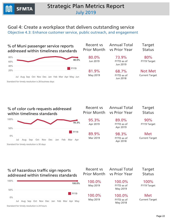## Goal 4: Create a workplace that delivers outstanding service

Objective 4.3: Enhance customer service, public outreach, and engagement







Standard for timely resolution is 24 hours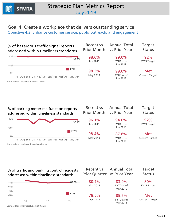### Goal 4: Create a workplace that delivers outstanding service

Objective 4.3: Enhance customer service, public outreach, and engagement



#### % of traffic and parking control requests addressed within timeliness standards



**Recent** vs **Prior Quarter** 

AnnualTotal vs Prior Year

Standard for timely resolution is 90 days

Target **Status**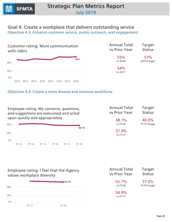Goal 4: Create a workplace that delivers outstanding service Objective 4.3: Enhance customer service, public outreach, and engagement



| <b>Annual Total</b> | <b>Target</b> |
|---------------------|---------------|
| vs Prior Year       | <b>Status</b> |
| 55%                 | 57%           |
| in 2018             | 2019 Target   |
| 54%<br>in 2017      |               |

#### Objective 4.4: Create a more diverse and inclusive workforce

FY13 FY14 FY15 FY16 FY17 FY18 0% 20% 40% 38.1% Employee rating: My concerns, questions, and suggestions are welcomed and acted upon quickly and appropriately **Annual Total** vs Prior Year 38.1% inFY18 37.9% in FY17 Target **Status** 40.0% FY19 Target

Employee rating: I feel that the Agency values workplace diversity



| <b>Annual Total</b> | <b>Target</b> |
|---------------------|---------------|
| vs Prior Year       | <b>Status</b> |
| 52.7%               | 57.0%         |
| in FY18             | FY19 Target   |
| 54.9%<br>in FY17    |               |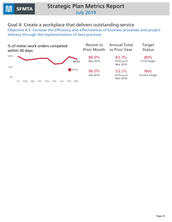### Goal 4: Create a workplace that delivers outstanding service

Objective 4.5: Increase the efficiency and effectiveness of business processes and project delivery through the implementation of best practices

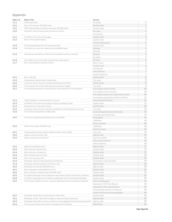#### Appendix

| Metric Id | <b>Metric Title</b>                                                                        | Variant                                         |                |
|-----------|--------------------------------------------------------------------------------------------|-------------------------------------------------|----------------|
| 1.1.1     | Traffic fatalities                                                                         | All modes                                       | $\mathbf{1}$   |
| 1.2.1     | Muni collisions per 100,000 miles                                                          | System-wide                                     | $\mathbbm{1}$  |
| 1.3.1     | SFPD-reported Muni-related crimes per 100,000 miles                                        | System-wide                                     | $1\,$          |
| 1.3.2     | Customer rating: Feeling safe and secure on Muni                                           | At a stop                                       | $\sqrt{2}$     |
|           |                                                                                            | On a vehicle                                    | $\overline{c}$ |
| 2.1.1     | % of Muni trips with service gaps                                                          | System-wide                                     | 3              |
| 2.1.2     | Muni on-time performance                                                                   | System-wide                                     | 3              |
|           |                                                                                            | Terminal departures                             | 3              |
| 2.1.3     | % of scheduled Muni service hours delivered                                                | System-wide                                     | $\overline{4}$ |
| 2.1.4     | % of Muni bus trips over capacity during AM/PM peak                                        | AM Peak                                         | $\sqrt{4}$     |
|           |                                                                                            | PM Peak                                         | $\overline{4}$ |
| 2.1.5     | Operational availability of elevators & escalators at Muni stations                        | Elevator                                        | 5              |
|           |                                                                                            | Escalator                                       | 5              |
| 2.1.6     | % of cable service hours delivered without interruption                                    | All Lines                                       | 5              |
| 2.1.7     | Muni mean distance between failure                                                         | Motor Coach                                     | 6              |
|           |                                                                                            |                                                 | 6              |
|           |                                                                                            | Trolley Coach                                   | 6              |
|           |                                                                                            | LRV (Breda)                                     |                |
|           |                                                                                            | LRV (Siemens)                                   | $\overline{7}$ |
|           |                                                                                            | Historic Streetcar                              | 7              |
| 2.2.1     | Muni ridership                                                                             | System-wide                                     | $\,$ 8 $\,$    |
| 2.2.2     | Sustainable transportation mode share                                                      | City-wide                                       | 8              |
| 2.2.5     | Customer rating: Overall customer satisfaction with Muni                                   | System-wide                                     | 8              |
| 2.3.2     | % of metered hours that meet parking occupancy targets                                     | City-wide                                       | 9              |
| 3.1.1     | % of eligible population utilizing free or discounted Muni fare programs                   | % of eligible youth enrolled                    | 10             |
|           |                                                                                            | % of eligible seniors enrolled                  | 10             |
|           |                                                                                            | % of eligible people with disabilities enrolled | 10             |
|           |                                                                                            | % of eligible population enrolled in Lifeline   | 11             |
| 3.1.2     | Traffic fatalities in Communities of Concern                                               | Communities of Concern                          | 11             |
| 3.1.3     | % of Muni trips with service gaps on Equity Strategy routes                                | System-wide                                     | 11             |
| 3.1.4     | Paratransit on-time performance                                                            | System-wide                                     | 12             |
| 3.1.5     | Customer rating: Overall customer satisfaction with paratransit services                   | City-wide                                       | 12             |
| 3.1.6     | % of contract \$ awarded to DBEs/LBEs                                                      | Disadvantaged Business Enterprises              | 13             |
|           |                                                                                            | Local Business Enterprises                      | 12             |
| 3.3.1     | # of trips using Emerging Mobility Services (EMS)                                          | Ford GoBike                                     | 13             |
|           |                                                                                            | <b>JUMP Bike</b>                                | 13             |
|           |                                                                                            |                                                 | 14             |
|           |                                                                                            | Electric Scooter                                | 14             |
| 3.3.2     | EMS collisions per 100,000 miles                                                           | <b>JUMP Bike</b>                                |                |
|           |                                                                                            | Electric Scooter                                | 15             |
| 3.4.1     | Transportation sector carbon footprint (metric tons CO2e)                                  | City-wide                                       | 15             |
| 3.4.2     | Agency waste diversion rate                                                                | Agency-wide                                     | 15             |
| 3.4.3     | Agency resource consumption                                                                | Electricity (kWh)                               | 16             |
|           |                                                                                            | Natural Gas (Therms)                            | 16             |
|           |                                                                                            | Water (Gallons)                                 | 16             |
| 3.5.1     | Agency fund balance ratio                                                                  | Agency-wide                                     | 17             |
| 3.5.3     | Muni cost per revenue hour                                                                 | System-wide                                     | 17             |
| 3.5.4     | Muni cost per unlinked trip                                                                | System-wide                                     | 17             |
| 3.5.5     | Muni farebox recovery ratio                                                                | System-wide                                     | 18             |
| 3.5.6     | Muni cost recovery ratio                                                                   | System-wide                                     | 18             |
| 4.1.2     | Employee rating: Overall employee satisfaction                                             | Somewhat or Very Satisfied                      | 19             |
| 4.1.3     | Employee wellness program utilization rate                                                 | Agency-wide                                     | 19             |
| 4.2.2     | Workplace injuries per 200,000 hours                                                       | Agency-wide                                     | 20             |
| 4.3.1     | Muni employee commendations to 311                                                         | System-wide                                     | 21             |
| 4.3.2     | Muni customer complaints per 100,000 miles                                                 | System-wide                                     | 21             |
| 4.3.3     | % of Muni Passenger Service Reports responded to within timeliness standards               | System-wide                                     | 21             |
|           |                                                                                            |                                                 | 22             |
| 4.3.4     | % of Muni Passenger Service Reports addressed within timeliness standards                  | System-wide                                     |                |
| 4.3.5     | % of streets-related customer requests addressed within timeliness standards               | Color Curb Requests                             | 22             |
|           |                                                                                            | Hazardous Traffic Sign Reports                  | 22             |
|           |                                                                                            | Hazardous Traffic Signal Reports                | 23             |
|           |                                                                                            | Parking Meter Malfunction Reports               | 23             |
|           |                                                                                            | Traffic and Parking Control Requests            | 23             |
| 4.3.7     | Customer rating: Muni communication with riders                                            | System-wide                                     | 24             |
| 4.4.1     | Employee rating: I feel that the Agency values workplace diversity                         | Agency-wide                                     | 24             |
| 4.4.2     | Employee rating: My concerns, questions, and suggestions are welcomed and acte Agency-wide |                                                 | 24             |
| 4.5.4     | % of sign and meter work orders completed within 30 days                                   | Meter Shop                                      | 25             |